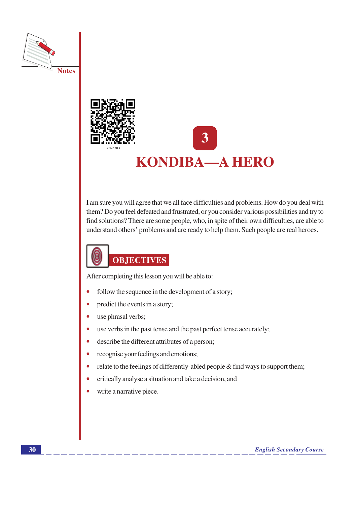



# **KONDIBA-A HERO**

I am sure you will agree that we all face difficulties and problems. How do you deal with them? Do you feel defeated and frustrated, or you consider various possibilities and try to find solutions? There are some people, who, in spite of their own difficulties, are able to understand others' problems and are ready to help them. Such people are real heroes.



After completing this lesson you will be able to:

- follow the sequence in the development of a story;
- predict the events in a story;
- use phrasal verbs;  $\bullet$
- use verbs in the past tense and the past perfect tense accurately;  $\bullet$
- describe the different attributes of a person;  $\bullet$
- recognise your feelings and emotions;
- relate to the feelings of differently-abled people & find ways to support them;  $\bullet$
- critically analyse a situation and take a decision, and
- write a narrative piece.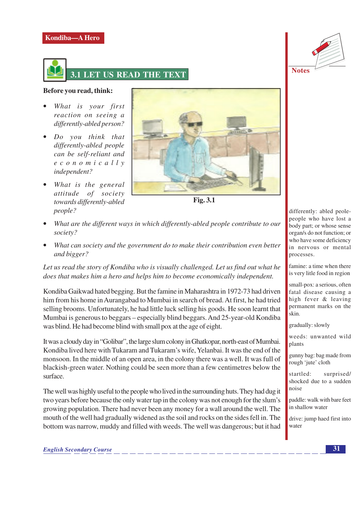



**Notes** 

### Before you read, think:

- What is your first reaction on seeing a differently-abled person?
- Do you think that differently-abled people can be self-reliant and  $e$  c o n o m i c a l l y independent?
- What is the general attitude of society towards differently-abled people?



**Fig. 3.1** 

- What are the different ways in which differently-abled people contribute to our society?
- What can society and the government do to make their contribution even better and bigger?

Let us read the story of Kondiba who is visually challenged. Let us find out what he does that makes him a hero and helps him to become economically independent.

Kondiba Gaikwad hated begging. But the famine in Maharashtra in 1972-73 had driven him from his home in Aurangabad to Mumbai in search of bread. At first, he had tried selling brooms. Unfortunately, he had little luck selling his goods. He soon learnt that Mumbai is generous to beggars – especially blind beggars. And 25-year-old Kondiba was blind. He had become blind with small pox at the age of eight.

It was a cloudy day in "Golibar", the large slum colony in Ghatkopar, north-east of Mumbai. Kondiba lived here with Tukaram and Tukaram's wife, Yelanbai. It was the end of the monsoon. In the middle of an open area, in the colony there was a well. It was full of blackish-green water. Nothing could be seen more than a few centimetres below the surface.

The well was highly useful to the people who lived in the surrounding huts. They had dug it two years before because the only water tap in the colony was not enough for the slum's growing population. There had never been any money for a wall around the well. The mouth of the well had gradually widened as the soil and rocks on the sides fell in. The bottom was narrow, muddy and filled with weeds. The well was dangerous; but it had

differently: abled peolepeople who have lost a body part; or whose sense organ/s do not function; or who have some deficiency in nervous or mental processes.

famine: a time when there is very litle food in region

small-pox: a serious, often fatal disease causing a high fever & leaving permanent marks on the skin.

gradually: slowly

weeds: unwanted wild plants

gunny bag: bag made from rough 'jute' cloth

startled: surprised/ shocked due to a sudden noise

paddle: walk with bare feet in shallow water

drive: jump haed first into water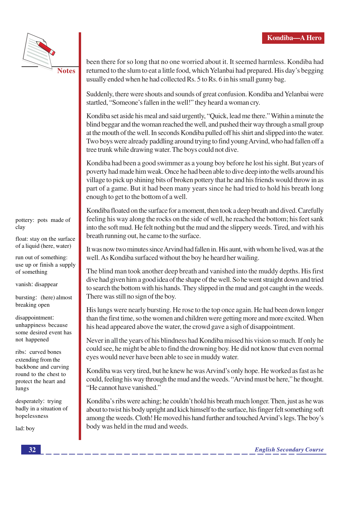

**Notes** 

been there for so long that no one worried about it. It seemed harmless. Kondiba had returned to the slum to eat a little food, which Yelanbai had prepared. His day's begging usually ended when he had collected Rs. 5 to Rs. 6 in his small gunny bag.

Suddenly, there were shouts and sounds of great confusion. Kondiba and Yelanbai were startled, "Someone's fallen in the well!" they heard a woman cry.

Kondiba set aside his meal and said urgently, "Quick, lead me there." Within a minute the blind beggar and the woman reached the well, and pushed their way through a small group at the mouth of the well. In seconds Kondiba pulled off his shirt and slipped into the water. Two boys were already paddling around trying to find young Arvind, who had fallen off a tree trunk while drawing water. The boys could not dive.

Kondiba had been a good swimmer as a young boy before he lost his sight. But years of poverty had made him weak. Once he had been able to dive deep into the wells around his village to pick up shining bits of broken pottery that he and his friends would throw in as part of a game. But it had been many years since he had tried to hold his breath long enough to get to the bottom of a well.

Kondiba floated on the surface for a moment, then took a deep breath and dived. Carefully feeling his way along the rocks on the side of well, he reached the bottom; his feet sank into the soft mud. He felt nothing but the mud and the slippery weeds. Tired, and with his breath running out, he came to the surface.

It was now two minutes since Arvind had fallen in. His aunt, with whom he lived, was at the well. As Kondiba surfaced without the boy he heard her wailing.

The blind man took another deep breath and vanished into the muddy depths. His first dive had given him a good idea of the shape of the well. So he went straight down and tried to search the bottom with his hands. They slipped in the mud and got caught in the weeds. There was still no sign of the boy.

His lungs were nearly bursting. He rose to the top once again. He had been down longer than the first time, so the women and children were getting more and more excited. When his head appeared above the water, the crowd gave a sigh of disappointment.

Never in all the years of his blindness had Kondiba missed his vision so much. If only he could see, he might be able to find the drowning boy. He did not know that even normal eyes would never have been able to see in muddy water.

Kondiba was very tired, but he knew he was Arvind's only hope. He worked as fast as he could, feeling his way through the mud and the weeds. "Arvind must be here," he thought. "He cannot have vanished."

Kondiba's ribs were aching; he couldn't hold his breath much longer. Then, just as he was about to twist his body upright and kick himself to the surface, his finger felt something soft among the weeds. Cloth! He moved his hand further and touched Arvind's legs. The boy's body was held in the mud and weeds.

pottery: pots made of clay

float: stay on the surface of a liquid (here, water)

run out of something: use up or finish a supply of something

vanish: disappear

bursting: (here) almost breaking open

disappointment: unhappiness because some desired event has not happened

ribs: curved bones extending from the backbone and curving round to the chest to protect the heart and lungs

desperately: trying badly in a situation of hopelessness

lad: boy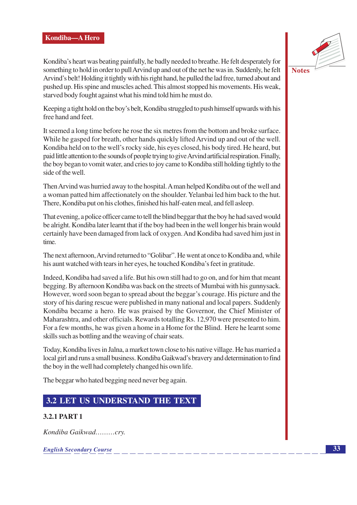

**Notes** 

Kondiba's heart was beating painfully, he badly needed to breathe. He felt desperately for something to hold in order to pull Arvind up and out of the net he was in. Suddenly, he felt Arvind's belt! Holding it tightly with his right hand, he pulled the lad free, turned about and pushed up. His spine and muscles ached. This almost stopped his movements. His weak, starved body fought against what his mind told him he must do.

Keeping a tight hold on the boy's belt, Kondiba struggled to push himself upwards with his free hand and feet.

It seemed a long time before he rose the six metres from the bottom and broke surface. While he gasped for breath, other hands quickly lifted Arvind up and out of the well. Kondiba held on to the well's rocky side, his eyes closed, his body tired. He heard, but paid little attention to the sounds of people trying to give Arvind artificial respiration. Finally, the boy began to vomit water, and cries to joy came to Kondiba still holding tightly to the side of the well.

Then Arvind was hurried away to the hospital. A man helped Kondiba out of the well and a woman patted him affectionately on the shoulder. Yelanbai led him back to the hut. There, Kondiba put on his clothes, finished his half-eaten meal, and fell asleep.

That evening, a police officer came to tell the blind beggar that the boy he had saved would be alright. Kondiba later learnt that if the boy had been in the well longer his brain would certainly have been damaged from lack of oxygen. And Kondiba had saved him just in time.

The next afternoon, Arvind returned to "Golibar". He went at once to Kondiba and, while his aunt watched with tears in her eyes, he touched Kondiba's feet in gratitude.

Indeed, Kondiba had saved a life. But his own still had to go on, and for him that meant begging. By afternoon Kondiba was back on the streets of Mumbai with his gunnysack. However, word soon began to spread about the beggar's courage. His picture and the story of his daring rescue were published in many national and local papers. Suddenly Kondiba became a hero. He was praised by the Governor, the Chief Minister of Maharashtra, and other officials. Rewards totalling Rs. 12,970 were presented to him. For a few months, he was given a home in a Home for the Blind. Here he learnt some skills such as bottling and the weaving of chair seats.

Today, Kondiba lives in Jalna, a market town close to his native village. He has married a local girl and runs a small business. Kondiba Gaikwad's bravery and determination to find the boy in the well had completely changed his own life.

The beggar who hated begging need never beg again.

### **3.2 LET US UNDERSTAND THE TEXT**

### **3.2.1 PART 1**

Kondiba Gaikwad..........crv.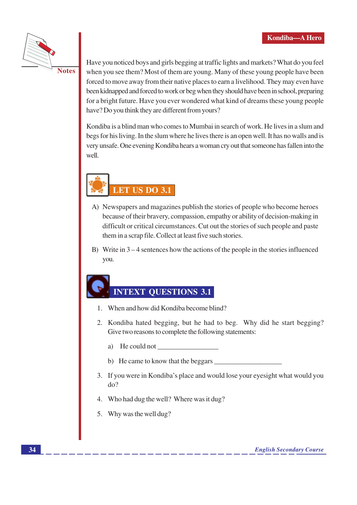

Have you noticed boys and girls begging at traffic lights and markets? What do you feel when you see them? Most of them are young. Many of these young people have been forced to move away from their native places to earn a livelihood. They may even have been kidnapped and forced to work or beg when they should have been in school, preparing for a bright future. Have you ever wondered what kind of dreams these young people have? Do you think they are different from yours?

Kondiba is a blind man who comes to Mumbai in search of work. He lives in a slum and begs for his living. In the slum where he lives there is an open well. It has no walls and is very unsafe. One evening Kondiba hears a woman cry out that someone has fallen into the well.



- A) Newspapers and magazines publish the stories of people who become heroes because of their bravery, compassion, empathy or ability of decision-making in difficult or critical circumstances. Cut out the stories of such people and paste them in a scrap file. Collect at least five such stories.
- B) Write in  $3-4$  sentences how the actions of the people in the stories influenced you.

### **INTEXT OUESTIONS 3.1**

- 1. When and how did Kondiba become blind?
- 2. Kondiba hated begging, but he had to beg. Why did he start begging? Give two reasons to complete the following statements:
	- a) He could not
	- b) He came to know that the beggars
- 3. If you were in Kondiba's place and would lose your eyesight what would you  $d\rho$ ?
- 4. Who had dug the well? Where was it dug?
- 5. Why was the well dug?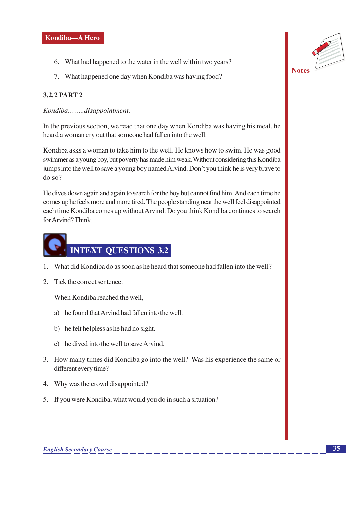- 6. What had happened to the water in the well within two years?
- 7. What happened one day when Kondiba was having food?

### **3.2.2 PART 2**

Kondiba.......disappointment.

In the previous section, we read that one day when Kondiba was having his meal, he heard a woman cry out that someone had fallen into the well.

Kondiba asks a woman to take him to the well. He knows how to swim. He was good swimmer as a young boy, but poverty has made him weak. Without considering this Kondiba jumps into the well to save a young boy named Arvind. Don't you think he is very brave to  $do$  so?

He dives down again and again to search for the boy but cannot find him. And each time he comes up he feels more and more tired. The people standing near the well feel disappointed each time Kondiba comes up without Arvind. Do you think Kondiba continues to search for Arvind? Think.



- 1. What did Kondiba do as soon as he heard that someone had fallen into the well?
- 2. Tick the correct sentence:

When Kondiba reached the well,

- a) he found that Arvind had fallen into the well.
- b) he felt helpless as he had no sight.
- c) he dived into the well to save Arvind.
- 3. How many times did Kondiba go into the well? Was his experience the same or different every time?
- 4. Why was the crowd disappointed?
- 5. If you were Kondiba, what would you do in such a situation?

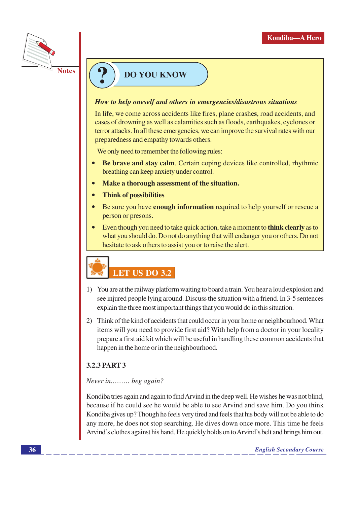

### **DO YOU KNOW**

### How to help oneself and others in emergencies/disastrous situations

In life, we come across accidents like fires, plane crashes, road accidents, and cases of drowning as well as calamities such as floods, earthquakes, cyclones or terror attacks. In all these emergencies, we can improve the survival rates with our preparedness and empathy towards others.

We only need to remember the following rules:

- Be brave and stay calm. Certain coping devices like controlled, rhythmic breathing can keep anxiety under control.
- Make a thorough assessment of the situation.
- **Think of possibilities**  $\bullet$
- $\bullet$ Be sure you have **enough information** required to help yourself or rescue a person or presons.
- Even though you need to take quick action, take a moment to **think clearly** as to what you should do. Do not do anything that will endanger you or others. Do not hesitate to ask others to assist you or to raise the alert.



- 1) You are at the railway platform waiting to board a train. You hear a loud explosion and see injured people lying around. Discuss the situation with a friend. In 3-5 sentences explain the three most important things that you would do in this situation.
- 2) Think of the kind of accidents that could occur in your home or neighbourhood. What items will you need to provide first aid? With help from a doctor in your locality prepare a first aid kit which will be useful in handling these common accidents that happen in the home or in the neighbourhood.

### 3.2.3 PART 3

### Never in......... beg again?

Kondiba tries again and again to find Arvind in the deep well. He wishes he was not blind, because if he could see he would be able to see Arvind and save him. Do you think Kondiba gives up? Though he feels very tired and feels that his body will not be able to do any more, he does not stop searching. He dives down once more. This time he feels Arvind's clothes against his hand. He quickly holds on to Arvind's belt and brings him out.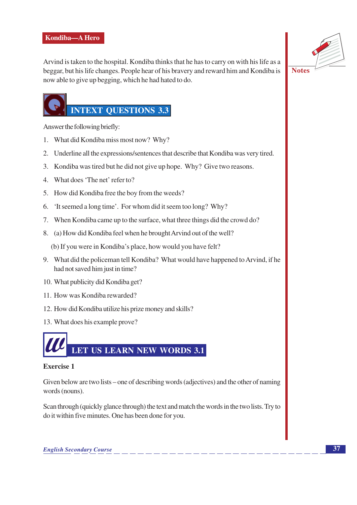

Arvind is taken to the hospital. Kondiba thinks that he has to carry on with his life as a beggar, but his life changes. People hear of his bravery and reward him and Kondiba is now able to give up begging, which he had hated to do.

### **Notes**

### **INTEXT OUESTIONS 3.3**

Answer the following briefly:

- 1. What did Kondiba miss most now? Why?
- 2. Underline all the expressions/sentences that describe that Kondiba was very tired.
- 3. Kondiba was tired but he did not give up hope. Why? Give two reasons.
- 4. What does 'The net' refer to?
- 5. How did Kondiba free the boy from the weeds?
- 6. 'It seemed a long time'. For whom did it seem too long? Why?
- 7. When Kondiba came up to the surface, what three things did the crowd do?
- 8. (a) How did Kondiba feel when he brought Arvind out of the well?
	- (b) If you were in Kondiba's place, how would you have felt?
- 9. What did the policeman tell Kondiba? What would have happened to Arvind, if he had not saved him just in time?
- 10. What publicity did Kondiba get?
- 11. How was Kondiba rewarded?
- 12. How did Kondiba utilize his prize money and skills?
- 13. What does his example prove?



### **Exercise 1**

Given below are two lists – one of describing words (adjectives) and the other of naming words (nouns).

Scan through (quickly glance through) the text and match the words in the two lists. Try to do it within five minutes. One has been done for you.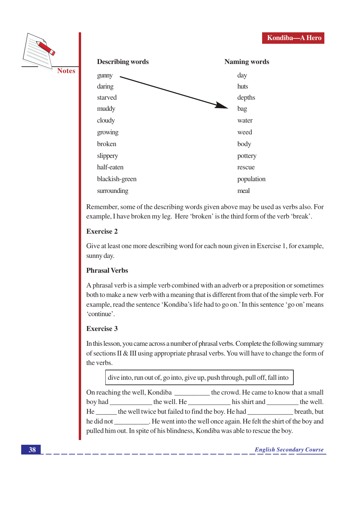





Remember, some of the describing words given above may be used as verbs also. For example, I have broken my leg. Here 'broken' is the third form of the verb 'break'.

### **Exercise 2**

Give at least one more describing word for each noun given in Exercise 1, for example, sunny day.

### **Phrasal Verbs**

A phrasal verb is a simple verb combined with an adverb or a preposition or sometimes both to make a new verb with a meaning that is different from that of the simple verb. For example, read the sentence 'Kondiba's life had to go on.' In this sentence 'go on' means 'continue'.

### Exercise 3

In this lesson, you came across a number of phrasal verbs. Complete the following summary of sections II & III using appropriate phrasal verbs. You will have to change the form of the verbs.

dive into, run out of, go into, give up, push through, pull off, fall into

On reaching the well, Kondiba \_\_\_\_\_\_\_\_\_\_\_\_ the crowd. He came to know that a small the well. He \_\_\_\_\_\_ the well twice but failed to find the boy. He had **Example 1** September 2014 he did not \_\_\_\_\_\_\_\_\_\_\_. He went into the well once again. He felt the shirt of the boy and pulled him out. In spite of his blindness, Kondiba was able to rescue the boy.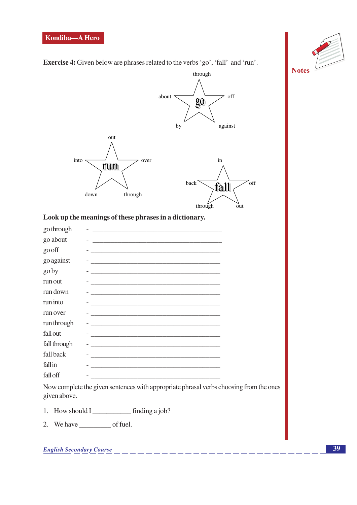

**Exercise 4:** Given below are phrases related to the verbs 'go', 'fall' and 'run'.



### Look up the meanings of these phrases in a dictionary.

| go through   | <u> 1980 - Jan Stein Stein Stein Stein Stein Stein Stein Stein Stein Stein Stein Stein Stein Stein Stein Stein S</u>  |
|--------------|-----------------------------------------------------------------------------------------------------------------------|
| go about     | <u> 1989 - Andrea Barbara, Amerikaansk politiker (</u>                                                                |
| go off       | <u> 1980 - Jan Sterling Sterling, amerikansk politik (d. 1980)</u>                                                    |
| go against   | <u> Alexandria de la contrada de la contrada de la contrada de la contrada de la contrada de la contrada de la c</u>  |
| go by        | <u> 1989 - Johann Stein, marwolaethau a bhann an t-Amhainn an t-Amhainn an t-Amhainn an t-Amhainn an t-Amhainn an</u> |
| run out      |                                                                                                                       |
| run down     | <u> 1989 - Andrea Stadt Britain, amerikansk politiker (d. 1989)</u>                                                   |
| run into     | <u> 1989 - Johann Stein, fransk politiker (d. 1989)</u>                                                               |
| run over     |                                                                                                                       |
| run through  |                                                                                                                       |
| fall out     | the control of the control of the control of the control of the control of the control of                             |
| fall through |                                                                                                                       |
| fall back    |                                                                                                                       |
| fallin       |                                                                                                                       |
| fall off     |                                                                                                                       |

Now complete the given sentences with appropriate phrasal verbs choosing from the ones given above.

- 
- 2. We have  $\_\_\_\_$  of fuel.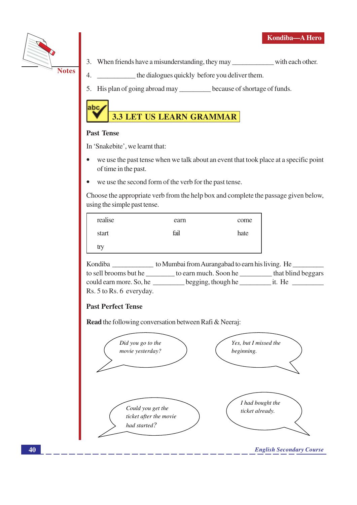



- 3. When friends have a misunderstanding, they may with each other.
- the dialogues quickly before you deliver them.  $4.$
- 5. His plan of going abroad may because of shortage of funds.



### **Past Tense**

In 'Snakebite', we learnt that:

- we use the past tense when we talk about an event that took place at a specific point of time in the past.
- we use the second form of the verb for the past tense.  $\bullet$

Choose the appropriate verb from the help box and complete the passage given below, using the simple past tense.

| realise | earn | come |
|---------|------|------|
| start   | fail | hate |
| try     |      |      |

Kondiba \_\_\_\_\_\_\_\_\_\_\_\_\_\_\_ to Mumbai from Aurangabad to earn his living. He \_\_\_\_\_\_\_\_ to sell brooms but he \_\_\_\_\_\_\_\_\_ to earn much. Soon he \_\_\_\_\_\_\_\_\_\_\_ that blind beggars could earn more. So, he \_\_\_\_\_\_\_\_\_\_ begging, though he \_\_\_\_\_\_\_\_\_\_\_\_ it. He Rs. 5 to Rs. 6 everyday.

### **Past Perfect Tense**

**Read** the following conversation between Rafi & Neeraj:

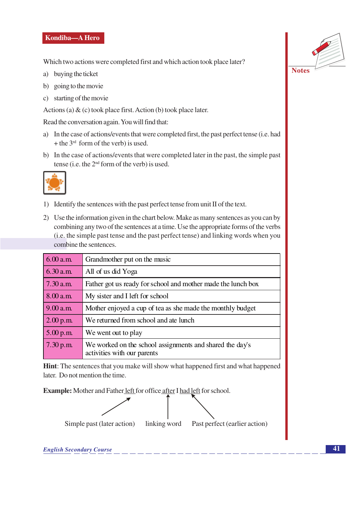Which two actions were completed first and which action took place later?

- a) buying the ticket
- b) going to the movie
- c) starting of the movie

Actions (a)  $\&$  (c) took place first. Action (b) took place later.

Read the conversation again. You will find that:

- a) In the case of actions/events that were completed first, the past perfect tense (i.e. had + the  $3<sup>rd</sup>$  form of the verb) is used.
- b) In the case of actions/events that were completed later in the past, the simple past tense (i.e. the 2<sup>nd</sup> form of the verb) is used.



- 1) Identify the sentences with the past perfect tense from unit II of the text.
- 2) Use the information given in the chart below. Make as many sentences as you can by combining any two of the sentences at a time. Use the appropriate forms of the verbs (i.e. the simple past tense and the past perfect tense) and linking words when you combine the sentences.

| 6.00 a.m.   | Grandmother put on the music                                                            |
|-------------|-----------------------------------------------------------------------------------------|
| 6.30 a.m.   | All of us did Yoga                                                                      |
| $7.30$ a.m. | Father got us ready for school and mother made the lunch box                            |
| 8.00 a.m.   | My sister and I left for school                                                         |
| 9.00 a.m.   | Mother enjoyed a cup of tea as she made the monthly budget                              |
| 2.00 p.m.   | We returned from school and ate lunch                                                   |
| $5.00$ p.m. | We went out to play                                                                     |
| 7.30 p.m.   | We worked on the school assignments and shared the day's<br>activities with our parents |

Hint: The sentences that you make will show what happened first and what happened later. Do not mention the time.

Example: Mother and Father left for office after I had left for school.



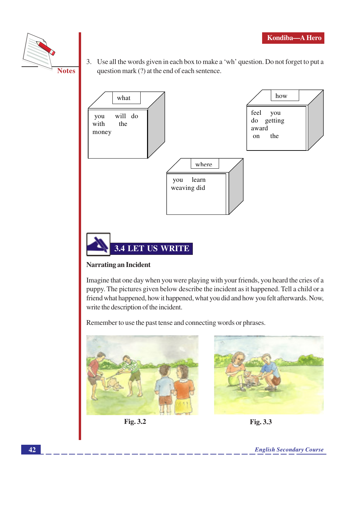



3. Use all the words given in each box to make a 'wh' question. Do not forget to put a question mark (?) at the end of each sentence.



### **Narrating an Incident**

Imagine that one day when you were playing with your friends, you heard the cries of a puppy. The pictures given below describe the incident as it happened. Tell a child or a friend what happened, how it happened, what you did and how you felt afterwards. Now, write the description of the incident.

Remember to use the past tense and connecting words or phrases.



Fig. 3.2

Fig. 3.3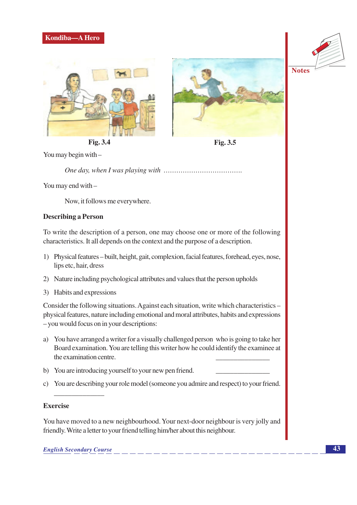







Fig. 3.5

You may begin with -

You may end with -

Now, it follows me everywhere.

### **Describing a Person**

To write the description of a person, one may choose one or more of the following characteristics. It all depends on the context and the purpose of a description.

- 1) Physical features built, height, gait, complexion, facial features, forehead, eyes, nose, lips etc, hair, dress
- 2) Nature including psychological attributes and values that the person upholds
- 3) Habits and expressions

Consider the following situations. Against each situation, write which characteristics – physical features, nature including emotional and moral attributes, habits and expressions - you would focus on in your descriptions:

- a) You have arranged a writer for a visually challenged person who is going to take her Board examination. You are telling this writer how he could identify the examinee at the examination centre.
- b) You are introducing yourself to your new pen friend.
- c) You are describing your role model (someone you admire and respect) to your friend.

### **Exercise**

You have moved to a new neighbourhood. Your next-door neighbour is very jolly and friendly. Write a letter to your friend telling him/her about this neighbour.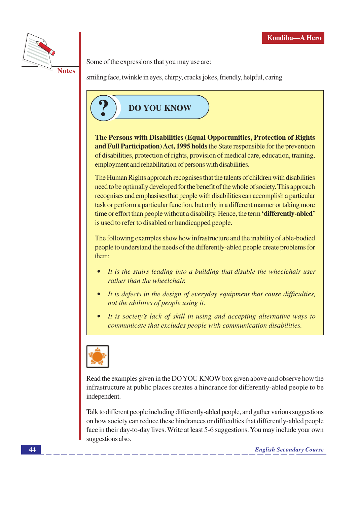

Some of the expressions that you may use are:

**Notes** 

smiling face, twinkle in eyes, chirpy, cracks jokes, friendly, helpful, caring



The Persons with Disabilities (Equal Opportunities, Protection of Rights and Full Participation) Act, 1995 holds the State responsible for the prevention of disabilities, protection of rights, provision of medical care, education, training, employment and rehabilitation of persons with disabilities.

The Human Rights approach recognises that the talents of children with disabilities need to be optimally developed for the benefit of the whole of society. This approach recognises and emphasises that people with disabilities can accomplish a particular task or perform a particular function, but only in a different manner or taking more time or effort than people without a disability. Hence, the term **'differently-abled'** is used to refer to disabled or handicapped people.

The following examples show how infrastructure and the inability of able-bodied people to understand the needs of the differently-abled people create problems for them:

- It is the stairs leading into a building that disable the wheelchair user rather than the wheelchair.
- It is defects in the design of everyday equipment that cause difficulties,  $\bullet$ not the abilities of people using it.
- It is society's lack of skill in using and accepting alternative ways to communicate that excludes people with communication disabilities.



Read the examples given in the DO YOU KNOW box given above and observe how the infrastructure at public places creates a hindrance for differently-abled people to be independent.

Talk to different people including differently-abled people, and gather various suggestions on how society can reduce these hindrances or difficulties that differently-abled people face in their day-to-day lives. Write at least 5-6 suggestions. You may include your own suggestions also.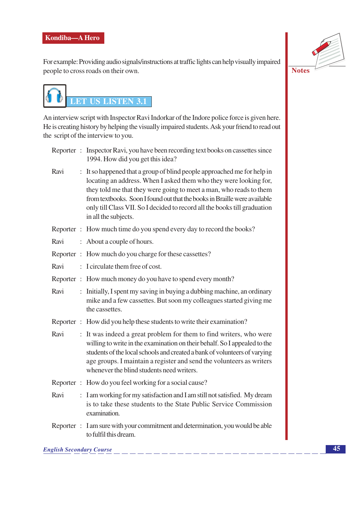For example: Providing audio signals/instructions at traffic lights can help visually impaired people to cross roads on their own.

**Notes** 

An interview script with Inspector Ravi Indorkar of the Indore police force is given here. He is creating history by helping the visually impaired students. Ask your friend to read out the script of the interview to you.

|  | Reporter : Inspector Ravi, you have been recording text books on cassettes since |
|--|----------------------------------------------------------------------------------|
|  | 1994. How did you get this idea?                                                 |

- Ravi : It so happened that a group of blind people approached me for help in locating an address. When I asked them who they were looking for, they told me that they were going to meet a man, who reads to them from textbooks. Soon I found out that the books in Braille were available only till Class VII. So I decided to record all the books till graduation in all the subjects.
- Reporter: How much time do you spend every day to record the books?
- Ravi : About a couple of hours.
- Reporter: How much do you charge for these cassettes?
- Ravi : I circulate them free of cost.
- Reporter: How much money do you have to spend every month?
- Ravi : Initially, I spent my saving in buying a dubbing machine, an ordinary mike and a few cassettes. But soon my colleagues started giving me the cassettes.
- Reporter: How did you help these students to write their examination?
- Ravi : It was indeed a great problem for them to find writers, who were willing to write in the examination on their behalf. So I appealed to the students of the local schools and created a bank of volunteers of varying age groups. I maintain a register and send the volunteers as writers whenever the blind students need writers.
- Reporter: How do you feel working for a social cause?
- Ravi : I am working for my satisfaction and I am still not satisfied. My dream is to take these students to the State Public Service Commission examination.
- Reporter: I am sure with your commitment and determination, you would be able to fulfil this dream.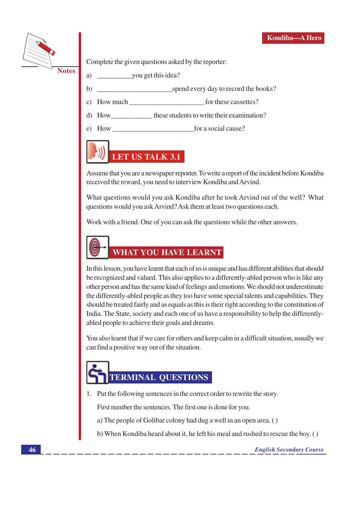

Complete the given questions asked by the reporter:

- 
- you get this idea? a)
- spend every day to record the books?  $b)$
- c) How much for these cassettes?
- d) How these students to write their examination?
- for a social cause? How

## LET US TALK 3.1

Assume that you are a newspaper reporter. To write a report of the incident before Kondiba received the reward, you need to interview Kondiba and Arvind.

What questions would you ask Kondiba after he took Arvind out of the well? What questions would you ask Arvind? Ask them at least two questions each.

Work with a friend. One of you can ask the questions while the other answers.



In this lesson, you have learnt that each of us is unique and has different abilities that should be recognized and valued. This also applies to a differently-abled person who is like any other person and has the same kind of feelings and emotions. We should not underestimate the differently-abled people as they too have some special talents and capabilities. They should be treated fairly and as equals as this is their right according to the constitution of India. The State, society and each one of us have a responsibility to help the differentlyabled people to achieve their goals and dreams.

You also learnt that if we care for others and keep calm in a difficult situation, usually we can find a positive way out of the situation.

# **TERMINAL QUESTIONS**

1. Put the following sentences in the correct order to rewrite the story.

First number the sentences. The first one is done for you.

- a) The people of Golibar colony had dug a well in an open area. ()
- b) When Kondiba heard about it, he left his meal and rushed to rescue the boy. ()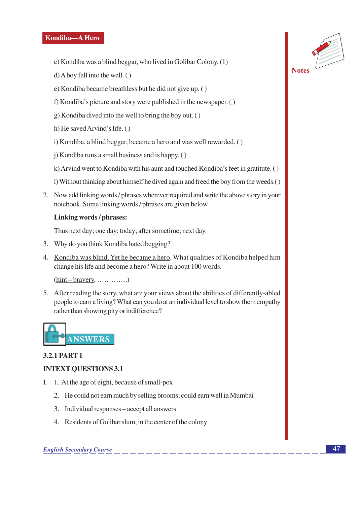- c) Kondiba was a blind beggar, who lived in Golibar Colony. (1)
- $d)$  A boy fell into the well. ()
- e) Kondiba became breathless but he did not give up. ()
- f) Kondiba's picture and story were published in the newspaper. ()
- g) Kondiba dived into the well to bring the boy out. ()
- h) He saved Arvind's life. ()
- i) Kondiba, a blind beggar, became a hero and was well rewarded. ()
- i) Kondiba runs a small business and is happy. ()
- k) Arvind went to Kondiba with his aunt and touched Kondiba's feet in gratitute. ()
- 1) Without thinking about himself he dived again and freed the boy from the weeds.
- 2. Now add linking words / phrases wherever required and write the above story in your notebook. Some linking words / phrases are given below.

### Linking words / phrases:

Thus next day; one day; today; after sometime; next day.

- 3. Why do you think Kondiba hated begging?
- 4. Kondiba was blind. Yet he became a hero. What qualities of Kondiba helped him change his life and become a hero? Write in about 100 words.

 $(hint - brawery, \ldots, \ldots)$ 

5. After reading the story, what are your views about the abilities of differently-abled people to earn a living? What can you do at an individual level to show them empathy rather than showing pity or indifference?



### **3.2.1 PART 1**

### **INTEXT QUESTIONS 3.1**

- I. 1. At the age of eight, because of small-pox
	- 2. He could not earn much by selling brooms; could earn well in Mumbai
	- 3. Individual responses accept all answers
	- 4. Residents of Golibar slum, in the center of the colony

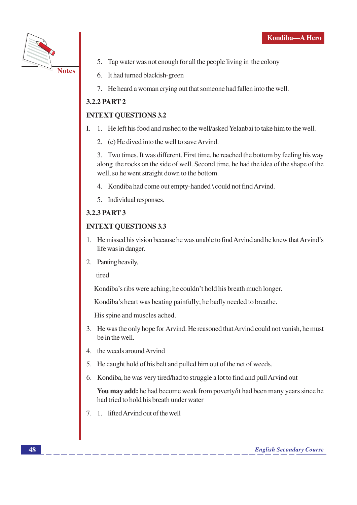

- 5. Tap water was not enough for all the people living in the colony
- 6. It had turned blackish-green
- 7. He heard a woman crying out that someone had fallen into the well.

### **3.2.2 PART 2**

### **INTEXT OUESTIONS 3.2**

- 1. He left his food and rushed to the well/asked Yelanbai to take him to the well.  $\mathbf{I}$ .
	- 2. (c) He dived into the well to save Arvind.

3. Two times. It was different. First time, he reached the bottom by feeling his way along the rocks on the side of well. Second time, he had the idea of the shape of the well, so he went straight down to the bottom.

- 4. Kondiba had come out empty-handed \could not find Arvind.
- 5. Individual responses.

### 3.2.3 PART 3

### **INTEXT QUESTIONS 3.3**

- 1. He missed his vision because he was unable to find Arvind and he knew that Arvind's life was in danger.
- 2. Panting heavily,

tired

Kondiba's ribs were aching; he couldn't hold his breath much longer.

Kondiba's heart was beating painfully; he badly needed to breathe.

His spine and muscles ached.

- 3. He was the only hope for Arvind. He reasoned that Arvind could not vanish, he must be in the well.
- 4. the weeds around Arvind
- 5. He caught hold of his belt and pulled him out of the net of weeds.
- 6. Kondiba, he was very tired/had to struggle a lot to find and pull Arvind out

You may add: he had become weak from poverty/it had been many years since he had tried to hold his breath under water

7. 1. lifted Arvind out of the well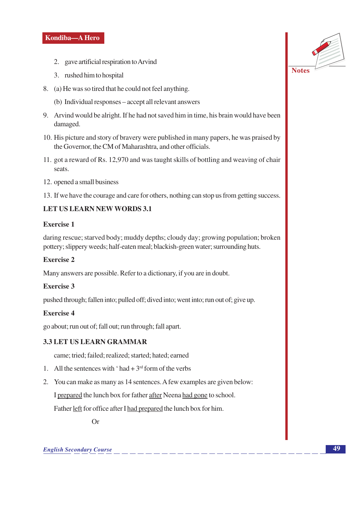- 2. gave artificial respiration to Arvind
- 3. rushed him to hospital
- 8. (a) He was so tired that he could not feel anything.
	- (b) Individual responses accept all relevant answers
- 9. Arvind would be alright. If he had not saved him in time, his brain would have been damaged.
- 10. His picture and story of bravery were published in many papers, he was praised by the Governor, the CM of Maharashtra, and other officials.
- 11. got a reward of Rs. 12,970 and was taught skills of bottling and weaving of chair seats.
- 12. opened a small business
- 13. If we have the courage and care for others, nothing can stop us from getting success.

### **LET US LEARN NEW WORDS 3.1**

### **Exercise 1**

daring rescue; starved body; muddy depths; cloudy day; growing population; broken pottery; slippery weeds; half-eaten meal; blackish-green water; surrounding huts.

### **Exercise 2**

Many answers are possible. Refer to a dictionary, if you are in doubt.

### Exercise 3

pushed through; fallen into; pulled off; dived into; went into; run out of; give up.

### **Exercise 4**

go about; run out of; fall out; run through; fall apart.

### **3.3 LET US LEARN GRAMMAR**

came; tried; failed; realized; started; hated; earned

- 1. All the sentences with 'had +  $3<sup>rd</sup>$  form of the verbs
- 2. You can make as many as 14 sentences. A few examples are given below:

I prepared the lunch box for father after Neena had gone to school.

Father left for office after I had prepared the lunch box for him.

 $Or$